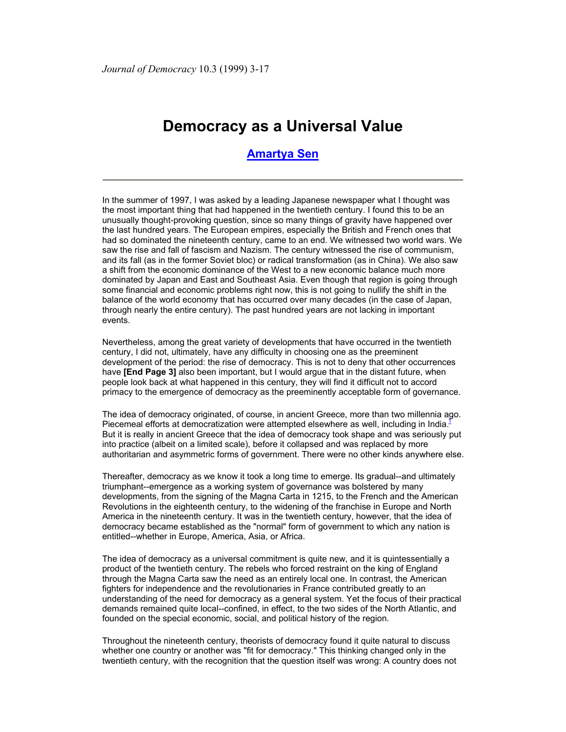# **Democracy as a Universal Value**

#### **Amartya Sen**

In the summer of 1997, I was asked by a leading Japanese newspaper what I thought was the most important thing that had happened in the twentieth century. I found this to be an unusually thought-provoking question, since so many things of gravity have happened over the last hundred years. The European empires, especially the British and French ones that had so dominated the nineteenth century, came to an end. We witnessed two world wars. We saw the rise and fall of fascism and Nazism. The century witnessed the rise of communism, and its fall (as in the former Soviet bloc) or radical transformation (as in China). We also saw a shift from the economic dominance of the West to a new economic balance much more dominated by Japan and East and Southeast Asia. Even though that region is going through some financial and economic problems right now, this is not going to nullify the shift in the balance of the world economy that has occurred over many decades (in the case of Japan, through nearly the entire century). The past hundred years are not lacking in important events.

Nevertheless, among the great variety of developments that have occurred in the twentieth century, I did not, ultimately, have any difficulty in choosing one as the preeminent development of the period: the rise of democracy. This is not to deny that other occurrences have **[End Page 3]** also been important, but I would argue that in the distant future, when people look back at what happened in this century, they will find it difficult not to accord primacy to the emergence of democracy as the preeminently acceptable form of governance.

The idea of democracy originated, of course, in ancient Greece, more than two millennia ago. Piecemeal efforts at democratization were attempted elsewhere as well, including in India.<sup>1</sup> But it is really in ancient Greece that the idea of democracy took shape and was seriously put into practice (albeit on a limited scale), before it collapsed and was replaced by more authoritarian and asymmetric forms of government. There were no other kinds anywhere else.

Thereafter, democracy as we know it took a long time to emerge. Its gradual--and ultimately triumphant--emergence as a working system of governance was bolstered by many developments, from the signing of the Magna Carta in 1215, to the French and the American Revolutions in the eighteenth century, to the widening of the franchise in Europe and North America in the nineteenth century. It was in the twentieth century, however, that the idea of democracy became established as the "normal" form of government to which any nation is entitled--whether in Europe, America, Asia, or Africa.

The idea of democracy as a universal commitment is quite new, and it is quintessentially a product of the twentieth century. The rebels who forced restraint on the king of England through the Magna Carta saw the need as an entirely local one. In contrast, the American fighters for independence and the revolutionaries in France contributed greatly to an understanding of the need for democracy as a general system. Yet the focus of their practical demands remained quite local--confined, in effect, to the two sides of the North Atlantic, and founded on the special economic, social, and political history of the region.

Throughout the nineteenth century, theorists of democracy found it quite natural to discuss whether one country or another was "fit for democracy." This thinking changed only in the twentieth century, with the recognition that the question itself was wrong: A country does not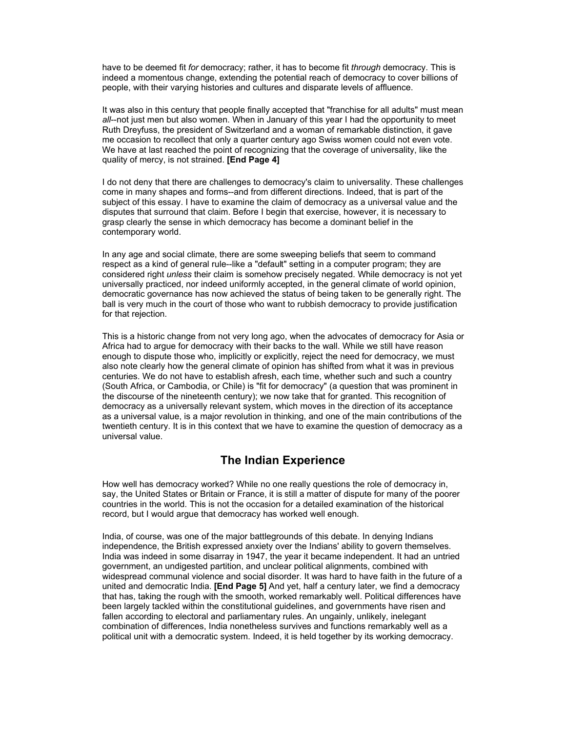have to be deemed fit *for* democracy; rather, it has to become fit *through* democracy. This is indeed a momentous change, extending the potential reach of democracy to cover billions of people, with their varying histories and cultures and disparate levels of affluence.

It was also in this century that people finally accepted that "franchise for all adults" must mean *all*--not just men but also women. When in January of this year I had the opportunity to meet Ruth Dreyfuss, the president of Switzerland and a woman of remarkable distinction, it gave me occasion to recollect that only a quarter century ago Swiss women could not even vote. We have at last reached the point of recognizing that the coverage of universality, like the quality of mercy, is not strained. **[End Page 4]**

I do not deny that there are challenges to democracy's claim to universality. These challenges come in many shapes and forms--and from different directions. Indeed, that is part of the subject of this essay. I have to examine the claim of democracy as a universal value and the disputes that surround that claim. Before I begin that exercise, however, it is necessary to grasp clearly the sense in which democracy has become a dominant belief in the contemporary world.

In any age and social climate, there are some sweeping beliefs that seem to command respect as a kind of general rule--like a "default" setting in a computer program; they are considered right *unless* their claim is somehow precisely negated. While democracy is not yet universally practiced, nor indeed uniformly accepted, in the general climate of world opinion, democratic governance has now achieved the status of being taken to be generally right. The ball is very much in the court of those who want to rubbish democracy to provide justification for that rejection.

This is a historic change from not very long ago, when the advocates of democracy for Asia or Africa had to argue for democracy with their backs to the wall. While we still have reason enough to dispute those who, implicitly or explicitly, reject the need for democracy, we must also note clearly how the general climate of opinion has shifted from what it was in previous centuries. We do not have to establish afresh, each time, whether such and such a country (South Africa, or Cambodia, or Chile) is "fit for democracy" (a question that was prominent in the discourse of the nineteenth century); we now take that for granted. This recognition of democracy as a universally relevant system, which moves in the direction of its acceptance as a universal value, is a major revolution in thinking, and one of the main contributions of the twentieth century. It is in this context that we have to examine the question of democracy as a universal value.

#### **The Indian Experience**

How well has democracy worked? While no one really questions the role of democracy in, say, the United States or Britain or France, it is still a matter of dispute for many of the poorer countries in the world. This is not the occasion for a detailed examination of the historical record, but I would argue that democracy has worked well enough.

India, of course, was one of the major battlegrounds of this debate. In denying Indians independence, the British expressed anxiety over the Indians' ability to govern themselves. India was indeed in some disarray in 1947, the year it became independent. It had an untried government, an undigested partition, and unclear political alignments, combined with widespread communal violence and social disorder. It was hard to have faith in the future of a united and democratic India. **[End Page 5]** And yet, half a century later, we find a democracy that has, taking the rough with the smooth, worked remarkably well. Political differences have been largely tackled within the constitutional guidelines, and governments have risen and fallen according to electoral and parliamentary rules. An ungainly, unlikely, inelegant combination of differences, India nonetheless survives and functions remarkably well as a political unit with a democratic system. Indeed, it is held together by its working democracy.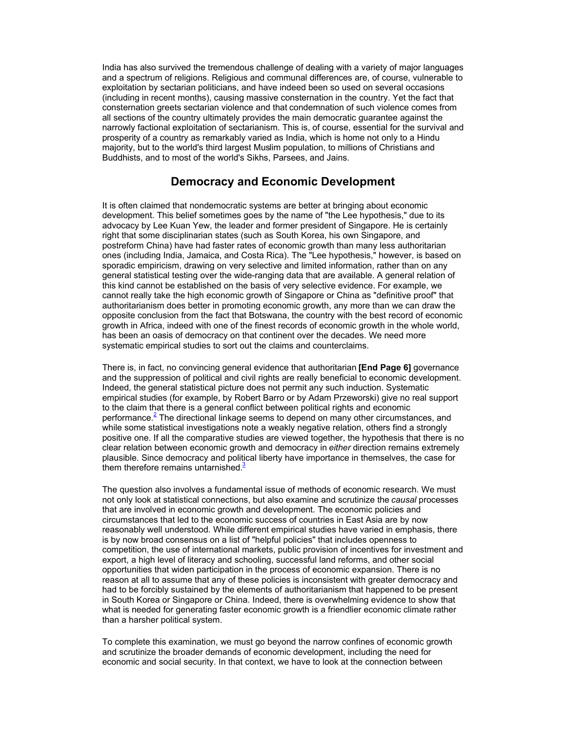India has also survived the tremendous challenge of dealing with a variety of major languages and a spectrum of religions. Religious and communal differences are, of course, vulnerable to exploitation by sectarian politicians, and have indeed been so used on several occasions (including in recent months), causing massive consternation in the country. Yet the fact that consternation greets sectarian violence and that condemnation of such violence comes from all sections of the country ultimately provides the main democratic guarantee against the narrowly factional exploitation of sectarianism. This is, of course, essential for the survival and prosperity of a country as remarkably varied as India, which is home not only to a Hindu majority, but to the world's third largest Muslim population, to millions of Christians and Buddhists, and to most of the world's Sikhs, Parsees, and Jains.

## **Democracy and Economic Development**

It is often claimed that nondemocratic systems are better at bringing about economic development. This belief sometimes goes by the name of "the Lee hypothesis," due to its advocacy by Lee Kuan Yew, the leader and former president of Singapore. He is certainly right that some disciplinarian states (such as South Korea, his own Singapore, and postreform China) have had faster rates of economic growth than many less authoritarian ones (including India, Jamaica, and Costa Rica). The "Lee hypothesis," however, is based on sporadic empiricism, drawing on very selective and limited information, rather than on any general statistical testing over the wide-ranging data that are available. A general relation of this kind cannot be established on the basis of very selective evidence. For example, we cannot really take the high economic growth of Singapore or China as "definitive proof" that authoritarianism does better in promoting economic growth, any more than we can draw the opposite conclusion from the fact that Botswana, the country with the best record of economic growth in Africa, indeed with one of the finest records of economic growth in the whole world, has been an oasis of democracy on that continent over the decades. We need more systematic empirical studies to sort out the claims and counterclaims.

There is, in fact, no convincing general evidence that authoritarian **[End Page 6]** governance and the suppression of political and civil rights are really beneficial to economic development. Indeed, the general statistical picture does not permit any such induction. Systematic empirical studies (for example, by Robert Barro or by Adam Przeworski) give no real support to the claim that there is a general conflict between political rights and economic performance.<sup>2</sup> The directional linkage seems to depend on many other circumstances, and while some statistical investigations note a weakly negative relation, others find a strongly positive one. If all the comparative studies are viewed together, the hypothesis that there is no clear relation between economic growth and democracy in *either* direction remains extremely plausible. Since democracy and political liberty have importance in themselves, the case for them therefore remains untarnished.<sup>3</sup>

The question also involves a fundamental issue of methods of economic research. We must not only look at statistical connections, but also examine and scrutinize the *causal* processes that are involved in economic growth and development. The economic policies and circumstances that led to the economic success of countries in East Asia are by now reasonably well understood. While different empirical studies have varied in emphasis, there is by now broad consensus on a list of "helpful policies" that includes openness to competition, the use of international markets, public provision of incentives for investment and export, a high level of literacy and schooling, successful land reforms, and other social opportunities that widen participation in the process of economic expansion. There is no reason at all to assume that any of these policies is inconsistent with greater democracy and had to be forcibly sustained by the elements of authoritarianism that happened to be present in South Korea or Singapore or China. Indeed, there is overwhelming evidence to show that what is needed for generating faster economic growth is a friendlier economic climate rather than a harsher political system.

To complete this examination, we must go beyond the narrow confines of economic growth and scrutinize the broader demands of economic development, including the need for economic and social security. In that context, we have to look at the connection between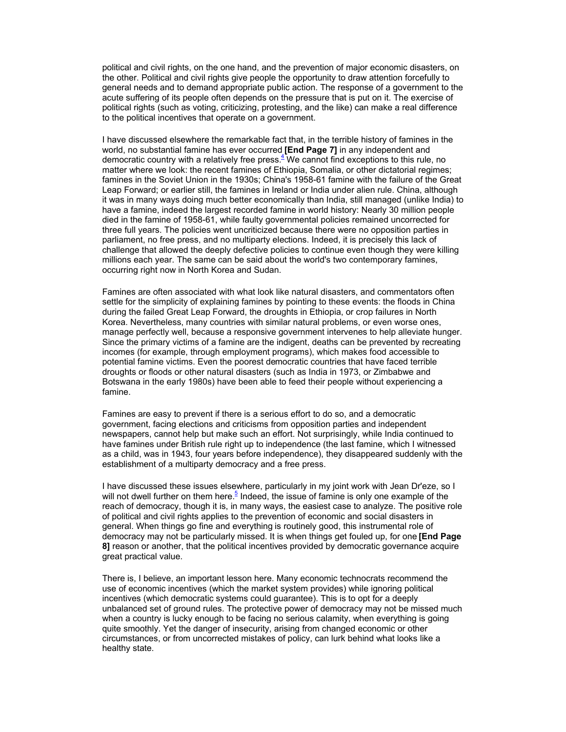political and civil rights, on the one hand, and the prevention of major economic disasters, on the other. Political and civil rights give people the opportunity to draw attention forcefully to general needs and to demand appropriate public action. The response of a government to the acute suffering of its people often depends on the pressure that is put on it. The exercise of political rights (such as voting, criticizing, protesting, and the like) can make a real difference to the political incentives that operate on a government.

I have discussed elsewhere the remarkable fact that, in the terrible history of famines in the world, no substantial famine has ever occurred **[End Page 7]** in any independent and democratic country with a relatively free press.<sup>4</sup> We cannot find exceptions to this rule, no matter where we look: the recent famines of Ethiopia, Somalia, or other dictatorial regimes; famines in the Soviet Union in the 1930s; China's 1958-61 famine with the failure of the Great Leap Forward; or earlier still, the famines in Ireland or India under alien rule. China, although it was in many ways doing much better economically than India, still managed (unlike India) to have a famine, indeed the largest recorded famine in world history: Nearly 30 million people died in the famine of 1958-61, while faulty governmental policies remained uncorrected for three full years. The policies went uncriticized because there were no opposition parties in parliament, no free press, and no multiparty elections. Indeed, it is precisely this lack of challenge that allowed the deeply defective policies to continue even though they were killing millions each year. The same can be said about the world's two contemporary famines, occurring right now in North Korea and Sudan.

Famines are often associated with what look like natural disasters, and commentators often settle for the simplicity of explaining famines by pointing to these events: the floods in China during the failed Great Leap Forward, the droughts in Ethiopia, or crop failures in North Korea. Nevertheless, many countries with similar natural problems, or even worse ones, manage perfectly well, because a responsive government intervenes to help alleviate hunger. Since the primary victims of a famine are the indigent, deaths can be prevented by recreating incomes (for example, through employment programs), which makes food accessible to potential famine victims. Even the poorest democratic countries that have faced terrible droughts or floods or other natural disasters (such as India in 1973, or Zimbabwe and Botswana in the early 1980s) have been able to feed their people without experiencing a famine.

Famines are easy to prevent if there is a serious effort to do so, and a democratic government, facing elections and criticisms from opposition parties and independent newspapers, cannot help but make such an effort. Not surprisingly, while India continued to have famines under British rule right up to independence (the last famine, which I witnessed as a child, was in 1943, four years before independence), they disappeared suddenly with the establishment of a multiparty democracy and a free press.

I have discussed these issues elsewhere, particularly in my joint work with Jean Dr'eze, so I will not dwell further on them here.<sup>5</sup> Indeed, the issue of famine is only one example of the reach of democracy, though it is, in many ways, the easiest case to analyze. The positive role of political and civil rights applies to the prevention of economic and social disasters in general. When things go fine and everything is routinely good, this instrumental role of democracy may not be particularly missed. It is when things get fouled up, for one **[End Page 8]** reason or another, that the political incentives provided by democratic governance acquire great practical value.

There is, I believe, an important lesson here. Many economic technocrats recommend the use of economic incentives (which the market system provides) while ignoring political incentives (which democratic systems could guarantee). This is to opt for a deeply unbalanced set of ground rules. The protective power of democracy may not be missed much when a country is lucky enough to be facing no serious calamity, when everything is going quite smoothly. Yet the danger of insecurity, arising from changed economic or other circumstances, or from uncorrected mistakes of policy, can lurk behind what looks like a healthy state.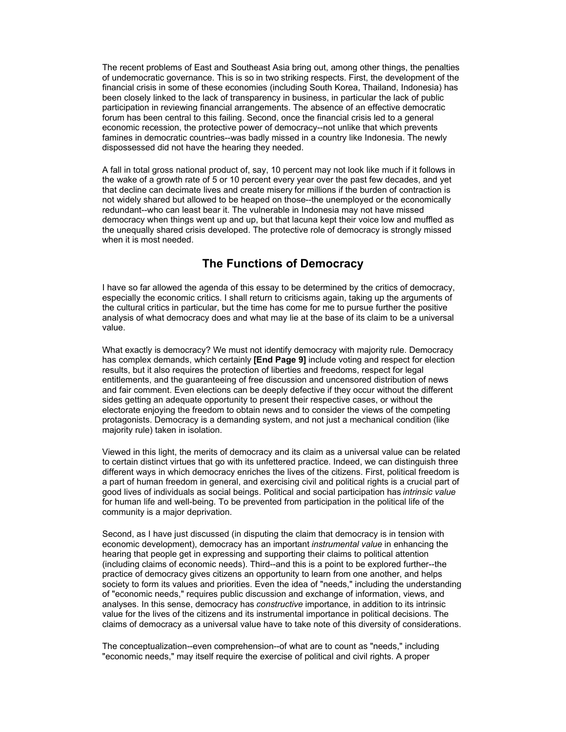The recent problems of East and Southeast Asia bring out, among other things, the penalties of undemocratic governance. This is so in two striking respects. First, the development of the financial crisis in some of these economies (including South Korea, Thailand, Indonesia) has been closely linked to the lack of transparency in business, in particular the lack of public participation in reviewing financial arrangements. The absence of an effective democratic forum has been central to this failing. Second, once the financial crisis led to a general economic recession, the protective power of democracy--not unlike that which prevents famines in democratic countries--was badly missed in a country like Indonesia. The newly dispossessed did not have the hearing they needed.

A fall in total gross national product of, say, 10 percent may not look like much if it follows in the wake of a growth rate of 5 or 10 percent every year over the past few decades, and yet that decline can decimate lives and create misery for millions if the burden of contraction is not widely shared but allowed to be heaped on those--the unemployed or the economically redundant--who can least bear it. The vulnerable in Indonesia may not have missed democracy when things went up and up, but that lacuna kept their voice low and muffled as the unequally shared crisis developed. The protective role of democracy is strongly missed when it is most needed.

## **The Functions of Democracy**

I have so far allowed the agenda of this essay to be determined by the critics of democracy, especially the economic critics. I shall return to criticisms again, taking up the arguments of the cultural critics in particular, but the time has come for me to pursue further the positive analysis of what democracy does and what may lie at the base of its claim to be a universal value.

What exactly is democracy? We must not identify democracy with majority rule. Democracy has complex demands, which certainly **[End Page 9]** include voting and respect for election results, but it also requires the protection of liberties and freedoms, respect for legal entitlements, and the guaranteeing of free discussion and uncensored distribution of news and fair comment. Even elections can be deeply defective if they occur without the different sides getting an adequate opportunity to present their respective cases, or without the electorate enjoying the freedom to obtain news and to consider the views of the competing protagonists. Democracy is a demanding system, and not just a mechanical condition (like majority rule) taken in isolation.

Viewed in this light, the merits of democracy and its claim as a universal value can be related to certain distinct virtues that go with its unfettered practice. Indeed, we can distinguish three different ways in which democracy enriches the lives of the citizens. First, political freedom is a part of human freedom in general, and exercising civil and political rights is a crucial part of good lives of individuals as social beings. Political and social participation has *intrinsic value* for human life and well-being. To be prevented from participation in the political life of the community is a major deprivation.

Second, as I have just discussed (in disputing the claim that democracy is in tension with economic development), democracy has an important *instrumental value* in enhancing the hearing that people get in expressing and supporting their claims to political attention (including claims of economic needs). Third--and this is a point to be explored further--the practice of democracy gives citizens an opportunity to learn from one another, and helps society to form its values and priorities. Even the idea of "needs," including the understanding of "economic needs," requires public discussion and exchange of information, views, and analyses. In this sense, democracy has *constructive* importance, in addition to its intrinsic value for the lives of the citizens and its instrumental importance in political decisions. The claims of democracy as a universal value have to take note of this diversity of considerations.

The conceptualization--even comprehension--of what are to count as "needs," including "economic needs," may itself require the exercise of political and civil rights. A proper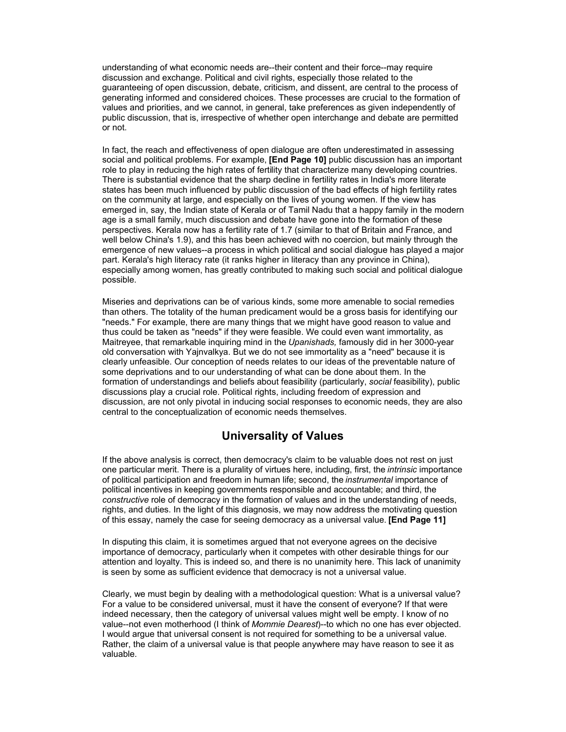understanding of what economic needs are--their content and their force--may require discussion and exchange. Political and civil rights, especially those related to the guaranteeing of open discussion, debate, criticism, and dissent, are central to the process of generating informed and considered choices. These processes are crucial to the formation of values and priorities, and we cannot, in general, take preferences as given independently of public discussion, that is, irrespective of whether open interchange and debate are permitted or not.

In fact, the reach and effectiveness of open dialogue are often underestimated in assessing social and political problems. For example, **[End Page 10]** public discussion has an important role to play in reducing the high rates of fertility that characterize many developing countries. There is substantial evidence that the sharp decline in fertility rates in India's more literate states has been much influenced by public discussion of the bad effects of high fertility rates on the community at large, and especially on the lives of young women. If the view has emerged in, say, the Indian state of Kerala or of Tamil Nadu that a happy family in the modern age is a small family, much discussion and debate have gone into the formation of these perspectives. Kerala now has a fertility rate of 1.7 (similar to that of Britain and France, and well below China's 1.9), and this has been achieved with no coercion, but mainly through the emergence of new values--a process in which political and social dialogue has played a major part. Kerala's high literacy rate (it ranks higher in literacy than any province in China), especially among women, has greatly contributed to making such social and political dialogue possible.

Miseries and deprivations can be of various kinds, some more amenable to social remedies than others. The totality of the human predicament would be a gross basis for identifying our "needs." For example, there are many things that we might have good reason to value and thus could be taken as "needs" if they were feasible. We could even want immortality, as Maitreyee, that remarkable inquiring mind in the *Upanishads,* famously did in her 3000-year old conversation with Yajnvalkya. But we do not see immortality as a "need" because it is clearly unfeasible. Our conception of needs relates to our ideas of the preventable nature of some deprivations and to our understanding of what can be done about them. In the formation of understandings and beliefs about feasibility (particularly, *social* feasibility), public discussions play a crucial role. Political rights, including freedom of expression and discussion, are not only pivotal in inducing social responses to economic needs, they are also central to the conceptualization of economic needs themselves.

## **Universality of Values**

If the above analysis is correct, then democracy's claim to be valuable does not rest on just one particular merit. There is a plurality of virtues here, including, first, the *intrinsic* importance of political participation and freedom in human life; second, the *instrumental* importance of political incentives in keeping governments responsible and accountable; and third, the *constructive* role of democracy in the formation of values and in the understanding of needs, rights, and duties. In the light of this diagnosis, we may now address the motivating question of this essay, namely the case for seeing democracy as a universal value. **[End Page 11]**

In disputing this claim, it is sometimes argued that not everyone agrees on the decisive importance of democracy, particularly when it competes with other desirable things for our attention and loyalty. This is indeed so, and there is no unanimity here. This lack of unanimity is seen by some as sufficient evidence that democracy is not a universal value.

Clearly, we must begin by dealing with a methodological question: What is a universal value? For a value to be considered universal, must it have the consent of everyone? If that were indeed necessary, then the category of universal values might well be empty. I know of no value--not even motherhood (I think of *Mommie Dearest*)--to which no one has ever objected. I would argue that universal consent is not required for something to be a universal value. Rather, the claim of a universal value is that people anywhere may have reason to see it as valuable.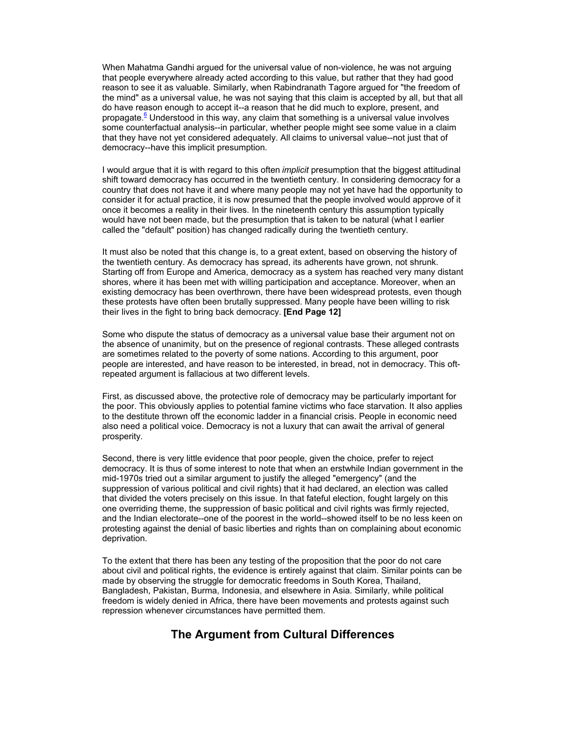When Mahatma Gandhi argued for the universal value of non-violence, he was not arguing that people everywhere already acted according to this value, but rather that they had good reason to see it as valuable. Similarly, when Rabindranath Tagore argued for "the freedom of the mind" as a universal value, he was not saying that this claim is accepted by all, but that all do have reason enough to accept it--a reason that he did much to explore, present, and propagate.<sup>6</sup> Understood in this way, any claim that something is a universal value involves some counterfactual analysis--in particular, whether people might see some value in a claim that they have not yet considered adequately. All claims to universal value--not just that of democracy--have this implicit presumption.

I would argue that it is with regard to this often *implicit* presumption that the biggest attitudinal shift toward democracy has occurred in the twentieth century. In considering democracy for a country that does not have it and where many people may not yet have had the opportunity to consider it for actual practice, it is now presumed that the people involved would approve of it once it becomes a reality in their lives. In the nineteenth century this assumption typically would have not been made, but the presumption that is taken to be natural (what I earlier called the "default" position) has changed radically during the twentieth century.

It must also be noted that this change is, to a great extent, based on observing the history of the twentieth century. As democracy has spread, its adherents have grown, not shrunk. Starting off from Europe and America, democracy as a system has reached very many distant shores, where it has been met with willing participation and acceptance. Moreover, when an existing democracy has been overthrown, there have been widespread protests, even though these protests have often been brutally suppressed. Many people have been willing to risk their lives in the fight to bring back democracy. **[End Page 12]**

Some who dispute the status of democracy as a universal value base their argument not on the absence of unanimity, but on the presence of regional contrasts. These alleged contrasts are sometimes related to the poverty of some nations. According to this argument, poor people are interested, and have reason to be interested, in bread, not in democracy. This oftrepeated argument is fallacious at two different levels.

First, as discussed above, the protective role of democracy may be particularly important for the poor. This obviously applies to potential famine victims who face starvation. It also applies to the destitute thrown off the economic ladder in a financial crisis. People in economic need also need a political voice. Democracy is not a luxury that can await the arrival of general prosperity.

Second, there is very little evidence that poor people, given the choice, prefer to reject democracy. It is thus of some interest to note that when an erstwhile Indian government in the mid-1970s tried out a similar argument to justify the alleged "emergency" (and the suppression of various political and civil rights) that it had declared, an election was called that divided the voters precisely on this issue. In that fateful election, fought largely on this one overriding theme, the suppression of basic political and civil rights was firmly rejected, and the Indian electorate--one of the poorest in the world--showed itself to be no less keen on protesting against the denial of basic liberties and rights than on complaining about economic deprivation.

To the extent that there has been any testing of the proposition that the poor do not care about civil and political rights, the evidence is entirely against that claim. Similar points can be made by observing the struggle for democratic freedoms in South Korea, Thailand, Bangladesh, Pakistan, Burma, Indonesia, and elsewhere in Asia. Similarly, while political freedom is widely denied in Africa, there have been movements and protests against such repression whenever circumstances have permitted them.

## **The Argument from Cultural Differences**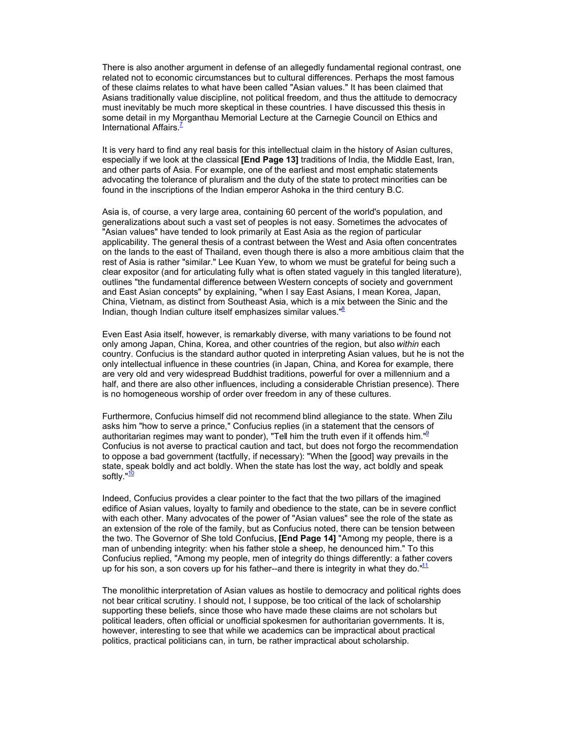There is also another argument in defense of an allegedly fundamental regional contrast, one related not to economic circumstances but to cultural differences. Perhaps the most famous of these claims relates to what have been called "Asian values." It has been claimed that Asians traditionally value discipline, not political freedom, and thus the attitude to democracy must inevitably be much more skeptical in these countries. I have discussed this thesis in some detail in my Morganthau Memorial Lecture at the Carnegie Council on Ethics and International Affairs.<sup>7</sup>

It is very hard to find any real basis for this intellectual claim in the history of Asian cultures, especially if we look at the classical **[End Page 13]** traditions of India, the Middle East, Iran, and other parts of Asia. For example, one of the earliest and most emphatic statements advocating the tolerance of pluralism and the duty of the state to protect minorities can be found in the inscriptions of the Indian emperor Ashoka in the third century B.C.

Asia is, of course, a very large area, containing 60 percent of the world's population, and generalizations about such a vast set of peoples is not easy. Sometimes the advocates of "Asian values" have tended to look primarily at East Asia as the region of particular applicability. The general thesis of a contrast between the West and Asia often concentrates on the lands to the east of Thailand, even though there is also a more ambitious claim that the rest of Asia is rather "similar." Lee Kuan Yew, to whom we must be grateful for being such a clear expositor (and for articulating fully what is often stated vaguely in this tangled literature), outlines "the fundamental difference between Western concepts of society and government and East Asian concepts" by explaining, "when I say East Asians, I mean Korea, Japan, China, Vietnam, as distinct from Southeast Asia, which is a mix between the Sinic and the Indian, though Indian culture itself emphasizes similar values."<sup>8</sup>

Even East Asia itself, however, is remarkably diverse, with many variations to be found not only among Japan, China, Korea, and other countries of the region, but also *within* each country. Confucius is the standard author quoted in interpreting Asian values, but he is not the only intellectual influence in these countries (in Japan, China, and Korea for example, there are very old and very widespread Buddhist traditions, powerful for over a millennium and a half, and there are also other influences, including a considerable Christian presence). There is no homogeneous worship of order over freedom in any of these cultures.

Furthermore, Confucius himself did not recommend blind allegiance to the state. When Zilu asks him "how to serve a prince," Confucius replies (in a statement that the censors of authoritarian regimes may want to ponder), "Tell him the truth even if it offends him." Confucius is not averse to practical caution and tact, but does not forgo the recommendation to oppose a bad government (tactfully, if necessary): "When the [good] way prevails in the state, speak boldly and act boldly. When the state has lost the way, act boldly and speak softly. **10** 

Indeed, Confucius provides a clear pointer to the fact that the two pillars of the imagined edifice of Asian values, loyalty to family and obedience to the state, can be in severe conflict with each other. Many advocates of the power of "Asian values" see the role of the state as an extension of the role of the family, but as Confucius noted, there can be tension between the two. The Governor of She told Confucius, **[End Page 14]** "Among my people, there is a man of unbending integrity: when his father stole a sheep, he denounced him." To this Confucius replied, "Among my people, men of integrity do things differently: a father covers up for his son, a son covers up for his father--and there is integrity in what they do. $^{\text{11}}$ 

The monolithic interpretation of Asian values as hostile to democracy and political rights does not bear critical scrutiny. I should not, I suppose, be too critical of the lack of scholarship supporting these beliefs, since those who have made these claims are not scholars but political leaders, often official or unofficial spokesmen for authoritarian governments. It is, however, interesting to see that while we academics can be impractical about practical politics, practical politicians can, in turn, be rather impractical about scholarship.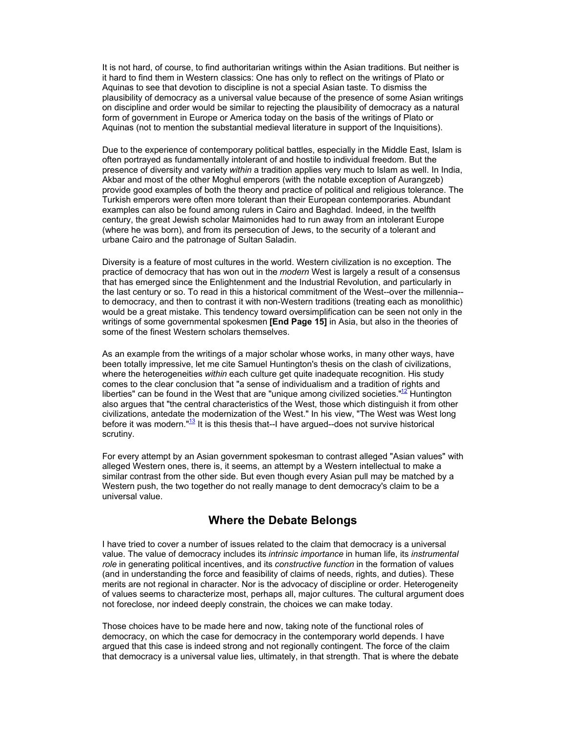It is not hard, of course, to find authoritarian writings within the Asian traditions. But neither is it hard to find them in Western classics: One has only to reflect on the writings of Plato or Aquinas to see that devotion to discipline is not a special Asian taste. To dismiss the plausibility of democracy as a universal value because of the presence of some Asian writings on discipline and order would be similar to rejecting the plausibility of democracy as a natural form of government in Europe or America today on the basis of the writings of Plato or Aquinas (not to mention the substantial medieval literature in support of the Inquisitions).

Due to the experience of contemporary political battles, especially in the Middle East, Islam is often portrayed as fundamentally intolerant of and hostile to individual freedom. But the presence of diversity and variety *within* a tradition applies very much to Islam as well. In India, Akbar and most of the other Moghul emperors (with the notable exception of Aurangzeb) provide good examples of both the theory and practice of political and religious tolerance. The Turkish emperors were often more tolerant than their European contemporaries. Abundant examples can also be found among rulers in Cairo and Baghdad. Indeed, in the twelfth century, the great Jewish scholar Maimonides had to run away from an intolerant Europe (where he was born), and from its persecution of Jews, to the security of a tolerant and urbane Cairo and the patronage of Sultan Saladin.

Diversity is a feature of most cultures in the world. Western civilization is no exception. The practice of democracy that has won out in the *modern* West is largely a result of a consensus that has emerged since the Enlightenment and the Industrial Revolution, and particularly in the last century or so. To read in this a historical commitment of the West--over the millennia- to democracy, and then to contrast it with non-Western traditions (treating each as monolithic) would be a great mistake. This tendency toward oversimplification can be seen not only in the writings of some governmental spokesmen **[End Page 15]** in Asia, but also in the theories of some of the finest Western scholars themselves.

As an example from the writings of a major scholar whose works, in many other ways, have been totally impressive, let me cite Samuel Huntington's thesis on the clash of civilizations, where the heterogeneities *within* each culture get quite inadequate recognition. His study comes to the clear conclusion that "a sense of individualism and a tradition of rights and liberties" can be found in the West that are "unique among civilized societies." $12$  Huntington also argues that "the central characteristics of the West, those which distinguish it from other civilizations, antedate the modernization of the West." In his view, "The West was West long before it was modern."<sup>13</sup> It is this thesis that--I have argued--does not survive historical scrutiny.

For every attempt by an Asian government spokesman to contrast alleged "Asian values" with alleged Western ones, there is, it seems, an attempt by a Western intellectual to make a similar contrast from the other side. But even though every Asian pull may be matched by a Western push, the two together do not really manage to dent democracy's claim to be a universal value.

#### **Where the Debate Belongs**

I have tried to cover a number of issues related to the claim that democracy is a universal value. The value of democracy includes its *intrinsic importance* in human life, its *instrumental role* in generating political incentives, and its *constructive function* in the formation of values (and in understanding the force and feasibility of claims of needs, rights, and duties). These merits are not regional in character. Nor is the advocacy of discipline or order. Heterogeneity of values seems to characterize most, perhaps all, major cultures. The cultural argument does not foreclose, nor indeed deeply constrain, the choices we can make today.

Those choices have to be made here and now, taking note of the functional roles of democracy, on which the case for democracy in the contemporary world depends. I have argued that this case is indeed strong and not regionally contingent. The force of the claim that democracy is a universal value lies, ultimately, in that strength. That is where the debate